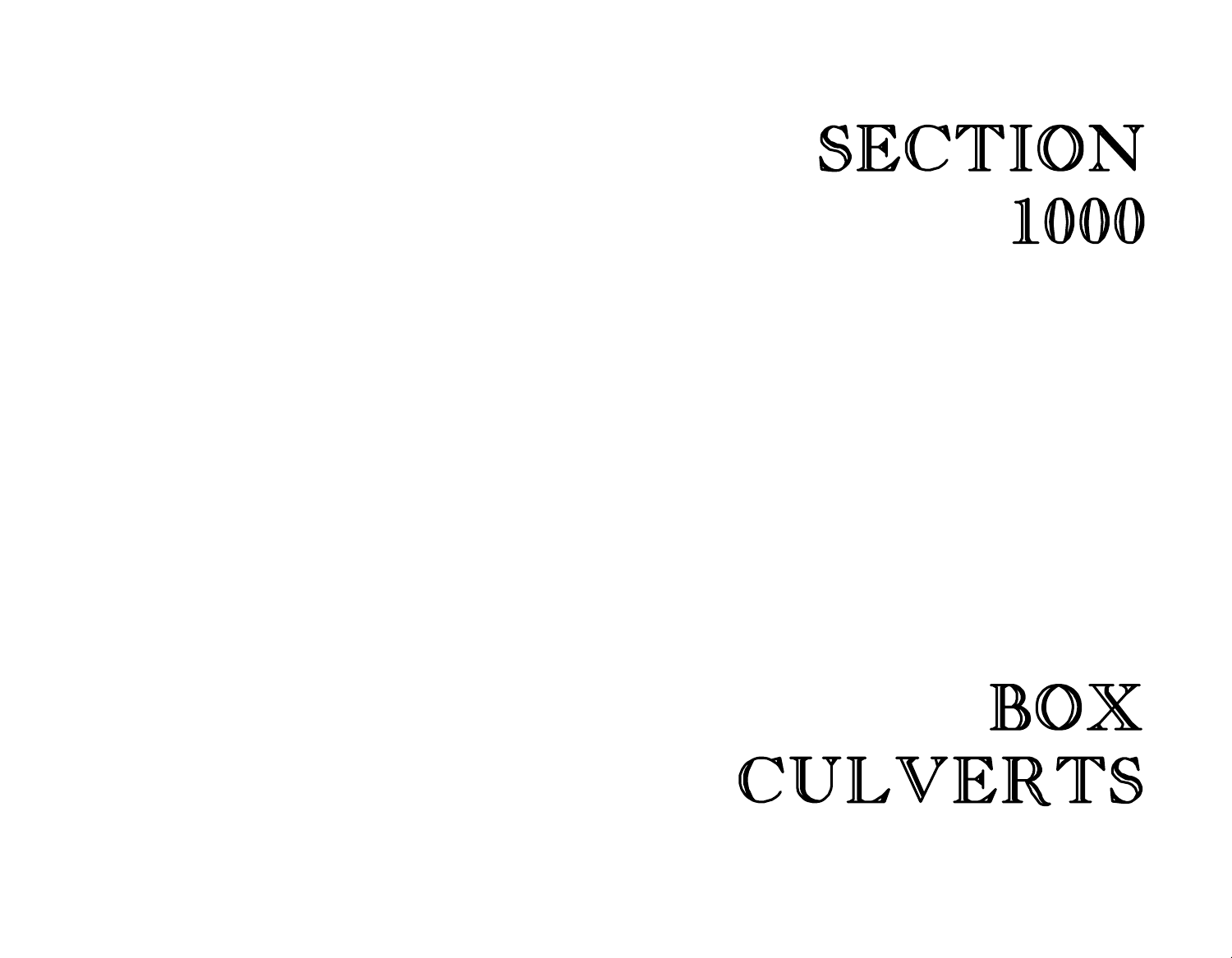# SECTION 1000

# BOX CULVERTS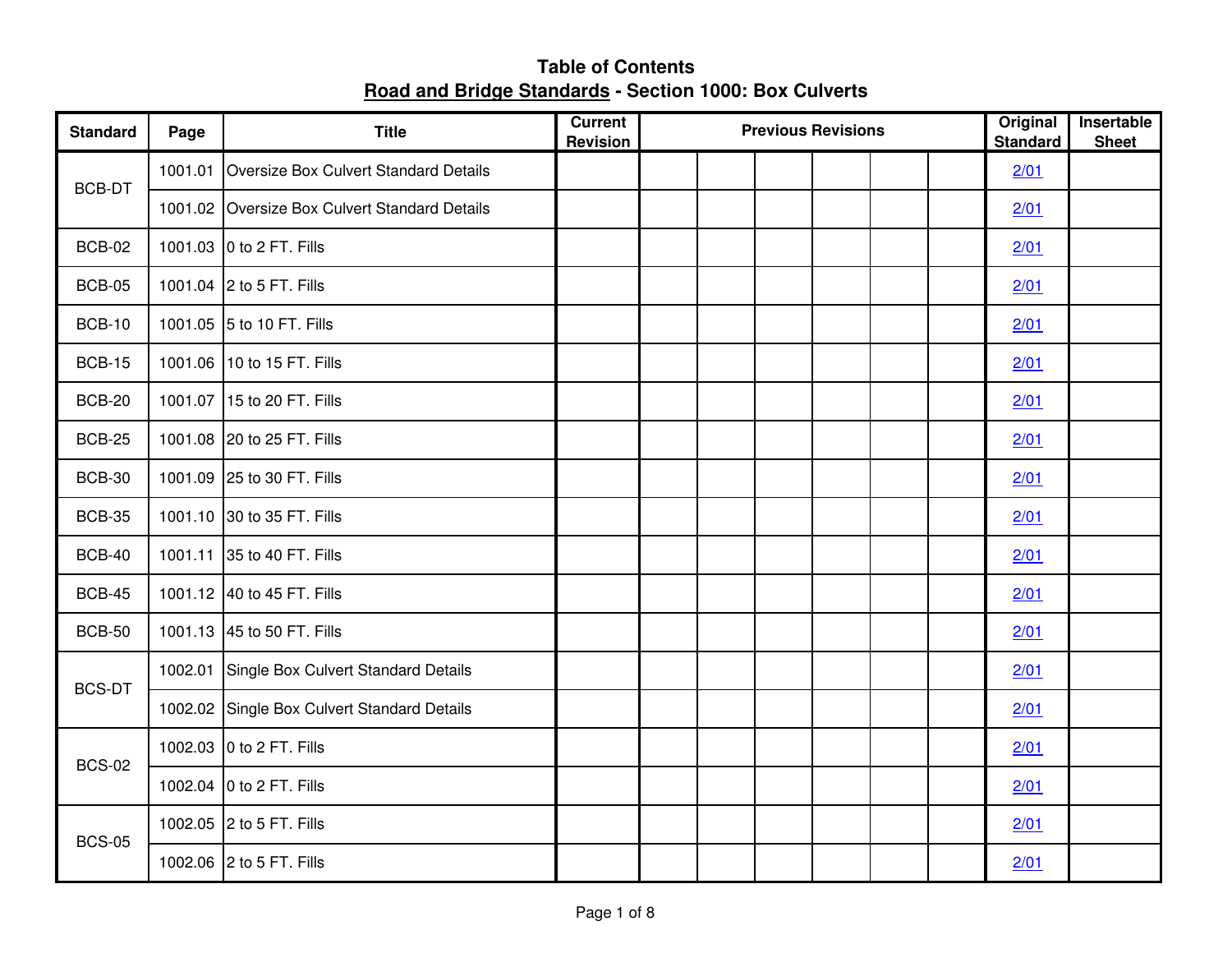| <b>Standard</b> | Page | <b>Title</b>                                  | Current<br><b>Revision</b> |  | <b>Previous Revisions</b> | Original<br><b>Standard</b> | Insertable<br><b>Sheet</b> |  |
|-----------------|------|-----------------------------------------------|----------------------------|--|---------------------------|-----------------------------|----------------------------|--|
| <b>BCB-DT</b>   |      | 1001.01 Oversize Box Culvert Standard Details |                            |  |                           |                             | 2/01                       |  |
|                 |      | 1001.02 Oversize Box Culvert Standard Details |                            |  |                           |                             | 2/01                       |  |
| <b>BCB-02</b>   |      | 1001.03 0 to 2 FT. Fills                      |                            |  |                           |                             | 2/01                       |  |
| <b>BCB-05</b>   |      | 1001.04 2 to 5 FT. Fills                      |                            |  |                           |                             | 2/01                       |  |
| <b>BCB-10</b>   |      | 1001.05 5 to 10 FT. Fills                     |                            |  |                           |                             | 2/01                       |  |
| <b>BCB-15</b>   |      | 1001.06 10 to 15 FT. Fills                    |                            |  |                           |                             | 2/01                       |  |
| <b>BCB-20</b>   |      | 1001.07 15 to 20 FT. Fills                    |                            |  |                           |                             | 2/01                       |  |
| <b>BCB-25</b>   |      | 1001.08 20 to 25 FT. Fills                    |                            |  |                           |                             | 2/01                       |  |
| <b>BCB-30</b>   |      | 1001.09 25 to 30 FT. Fills                    |                            |  |                           |                             | 2/01                       |  |
| <b>BCB-35</b>   |      | 1001.10 30 to 35 FT. Fills                    |                            |  |                           |                             | 2/01                       |  |
| <b>BCB-40</b>   |      | 1001.11 35 to 40 FT. Fills                    |                            |  |                           |                             | 2/01                       |  |
| <b>BCB-45</b>   |      | 1001.12 40 to 45 FT. Fills                    |                            |  |                           |                             | 2/01                       |  |
| <b>BCB-50</b>   |      | 1001.13 45 to 50 FT. Fills                    |                            |  |                           |                             | 2/01                       |  |
| <b>BCS-DT</b>   |      | 1002.01 Single Box Culvert Standard Details   |                            |  |                           |                             | 2/01                       |  |
|                 |      | 1002.02 Single Box Culvert Standard Details   |                            |  |                           |                             | 2/01                       |  |
| <b>BCS-02</b>   |      | 1002.03 0 to 2 FT. Fills                      |                            |  |                           |                             | 2/01                       |  |
|                 |      | 1002.04 0 to 2 FT. Fills                      |                            |  |                           |                             | 2/01                       |  |
| <b>BCS-05</b>   |      | 1002.05 2 to 5 FT. Fills                      |                            |  |                           |                             | 2/01                       |  |
|                 |      | 1002.06 2 to 5 FT. Fills                      |                            |  |                           |                             | 2/01                       |  |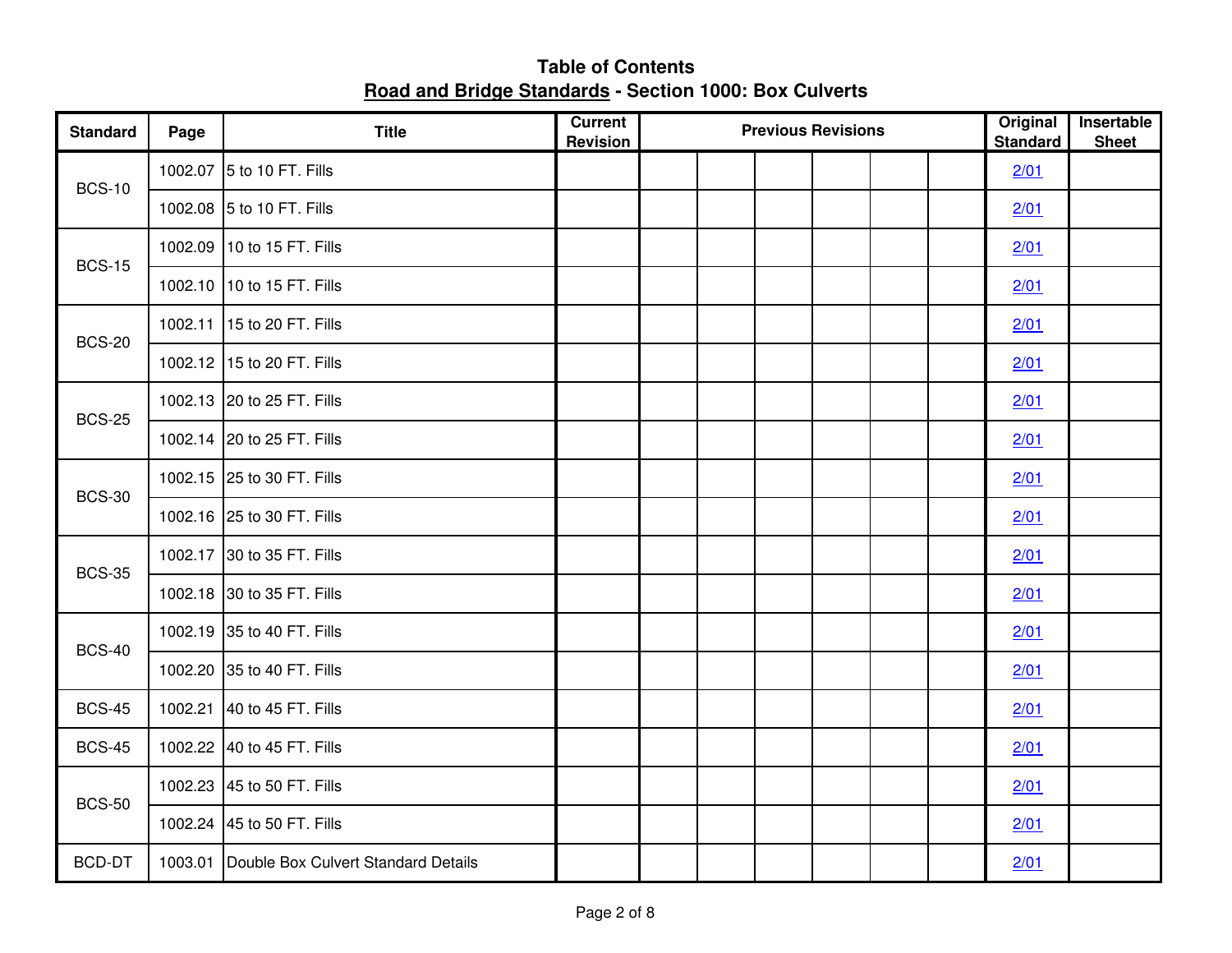| <b>Standard</b> | Page | <b>Title</b>                                | <b>Current</b><br><b>Revision</b> |  | <b>Previous Revisions</b> |  | Original<br><b>Standard</b> | Insertable<br><b>Sheet</b> |
|-----------------|------|---------------------------------------------|-----------------------------------|--|---------------------------|--|-----------------------------|----------------------------|
| <b>BCS-10</b>   |      | 1002.07 5 to 10 FT. Fills                   |                                   |  |                           |  | 2/01                        |                            |
|                 |      | 1002.08 5 to 10 FT. Fills                   |                                   |  |                           |  | 2/01                        |                            |
| <b>BCS-15</b>   |      | 1002.09 10 to 15 FT. Fills                  |                                   |  |                           |  | 2/01                        |                            |
|                 |      | 1002.10 10 to 15 FT. Fills                  |                                   |  |                           |  | 2/01                        |                            |
| <b>BCS-20</b>   |      | 1002.11 15 to 20 FT. Fills                  |                                   |  |                           |  | 2/01                        |                            |
|                 |      | 1002.12 15 to 20 FT. Fills                  |                                   |  |                           |  | 2/01                        |                            |
| <b>BCS-25</b>   |      | 1002.13 20 to 25 FT. Fills                  |                                   |  |                           |  | 2/01                        |                            |
|                 |      | 1002.14 20 to 25 FT. Fills                  |                                   |  |                           |  | 2/01                        |                            |
| <b>BCS-30</b>   |      | 1002.15 25 to 30 FT. Fills                  |                                   |  |                           |  | 2/01                        |                            |
|                 |      | 1002.16 25 to 30 FT. Fills                  |                                   |  |                           |  | 2/01                        |                            |
| <b>BCS-35</b>   |      | 1002.17 30 to 35 FT. Fills                  |                                   |  |                           |  | 2/01                        |                            |
|                 |      | 1002.18 30 to 35 FT. Fills                  |                                   |  |                           |  | 2/01                        |                            |
| <b>BCS-40</b>   |      | 1002.19 35 to 40 FT. Fills                  |                                   |  |                           |  | 2/01                        |                            |
|                 |      | 1002.20 35 to 40 FT. Fills                  |                                   |  |                           |  | 2/01                        |                            |
| <b>BCS-45</b>   |      | 1002.21 40 to 45 FT. Fills                  |                                   |  |                           |  | 2/01                        |                            |
| <b>BCS-45</b>   |      | 1002.22 40 to 45 FT. Fills                  |                                   |  |                           |  | 2/01                        |                            |
| <b>BCS-50</b>   |      | 1002.23 45 to 50 FT. Fills                  |                                   |  |                           |  | 2/01                        |                            |
|                 |      | 1002.24 45 to 50 FT. Fills                  |                                   |  |                           |  | 2/01                        |                            |
| <b>BCD-DT</b>   |      | 1003.01 Double Box Culvert Standard Details |                                   |  |                           |  | 2/01                        |                            |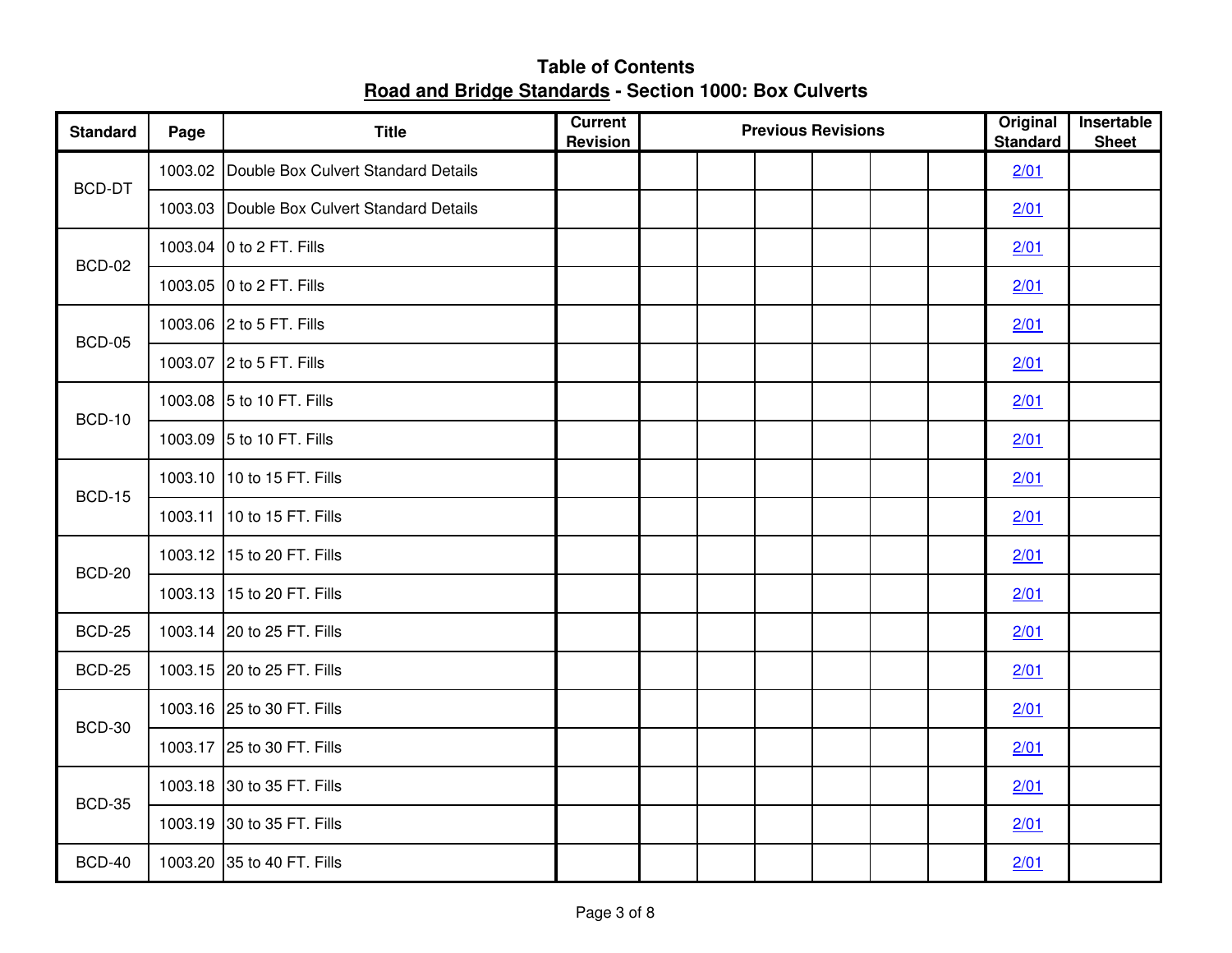**Table of Contents Road and Bridge Standards - Section 1000: Box Culverts**

| <b>Standard</b> | Page | <b>Title</b>                                | Current<br><b>Revision</b> | <b>Previous Revisions</b> |  | Original<br><b>Standard</b> | Insertable<br><b>Sheet</b> |
|-----------------|------|---------------------------------------------|----------------------------|---------------------------|--|-----------------------------|----------------------------|
| BCD-DT          |      | 1003.02 Double Box Culvert Standard Details |                            |                           |  | 2/01                        |                            |
|                 |      | 1003.03 Double Box Culvert Standard Details |                            |                           |  | 2/01                        |                            |
| <b>BCD-02</b>   |      | 1003.04 0 to 2 FT. Fills                    |                            |                           |  | 2/01                        |                            |
|                 |      | 1003.05 0 to 2 FT. Fills                    |                            |                           |  | 2/01                        |                            |
| <b>BCD-05</b>   |      | 1003.06 2 to 5 FT. Fills                    |                            |                           |  | 2/01                        |                            |
|                 |      | 1003.07 2 to 5 FT. Fills                    |                            |                           |  | 2/01                        |                            |
| <b>BCD-10</b>   |      | 1003.08 5 to 10 FT. Fills                   |                            |                           |  | 2/01                        |                            |
|                 |      | 1003.09 5 to 10 FT. Fills                   |                            |                           |  | 2/01                        |                            |
| <b>BCD-15</b>   |      | 1003.10 10 to 15 FT. Fills                  |                            |                           |  | 2/01                        |                            |
|                 |      | 1003.11 10 to 15 FT. Fills                  |                            |                           |  | 2/01                        |                            |
| <b>BCD-20</b>   |      | 1003.12 15 to 20 FT. Fills                  |                            |                           |  | 2/01                        |                            |
|                 |      | 1003.13 15 to 20 FT. Fills                  |                            |                           |  | 2/01                        |                            |
| <b>BCD-25</b>   |      | 1003.14 20 to 25 FT. Fills                  |                            |                           |  | 2/01                        |                            |
| <b>BCD-25</b>   |      | 1003.15 20 to 25 FT. Fills                  |                            |                           |  | 2/01                        |                            |
| <b>BCD-30</b>   |      | 1003.16 25 to 30 FT. Fills                  |                            |                           |  | 2/01                        |                            |
|                 |      | 1003.17 25 to 30 FT. Fills                  |                            |                           |  | 2/01                        |                            |
| <b>BCD-35</b>   |      | 1003.18 30 to 35 FT. Fills                  |                            |                           |  | 2/01                        |                            |
|                 |      | 1003.19 30 to 35 FT. Fills                  |                            |                           |  | 2/01                        |                            |
| <b>BCD-40</b>   |      | 1003.20 35 to 40 FT. Fills                  |                            |                           |  | 2/01                        |                            |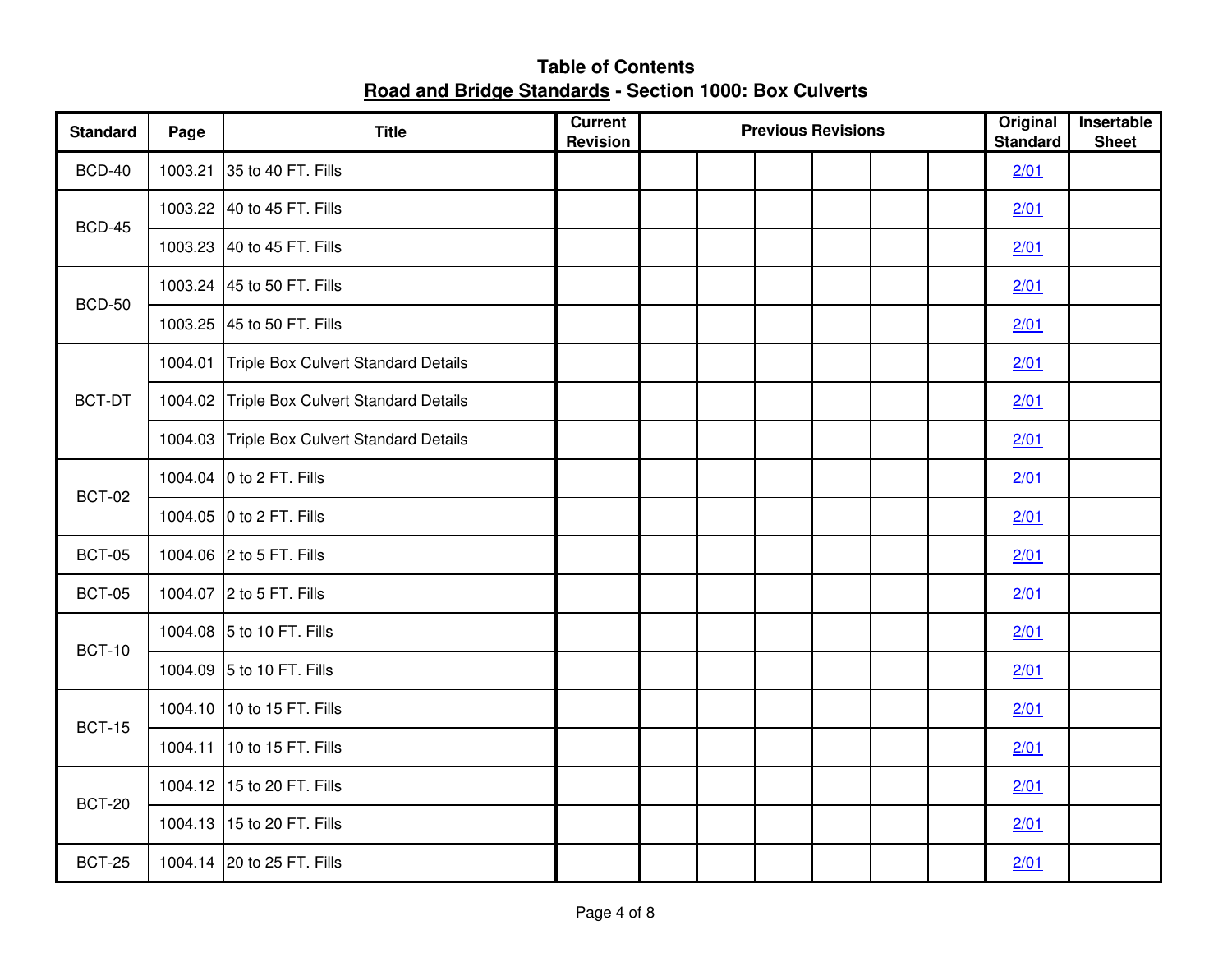| <b>Standard</b> | Page | <b>Title</b>                                | <b>Current</b><br><b>Revision</b> | <b>Previous Revisions</b> |  |  |  |  |  | Original<br><b>Standard</b> | Insertable<br><b>Sheet</b> |
|-----------------|------|---------------------------------------------|-----------------------------------|---------------------------|--|--|--|--|--|-----------------------------|----------------------------|
| <b>BCD-40</b>   |      | 1003.21 35 to 40 FT. Fills                  |                                   |                           |  |  |  |  |  | 2/01                        |                            |
| <b>BCD-45</b>   |      | 1003.22 40 to 45 FT. Fills                  |                                   |                           |  |  |  |  |  | 2/01                        |                            |
|                 |      | 1003.23 40 to 45 FT. Fills                  |                                   |                           |  |  |  |  |  | 2/01                        |                            |
| <b>BCD-50</b>   |      | 1003.24 45 to 50 FT. Fills                  |                                   |                           |  |  |  |  |  | 2/01                        |                            |
|                 |      | 1003.25 45 to 50 FT. Fills                  |                                   |                           |  |  |  |  |  | 2/01                        |                            |
| BCT-DT          |      | 1004.01 Triple Box Culvert Standard Details |                                   |                           |  |  |  |  |  | 2/01                        |                            |
|                 |      | 1004.02 Triple Box Culvert Standard Details |                                   |                           |  |  |  |  |  | 2/01                        |                            |
|                 |      | 1004.03 Triple Box Culvert Standard Details |                                   |                           |  |  |  |  |  | 2/01                        |                            |
| <b>BCT-02</b>   |      | 1004.04 0 to 2 FT. Fills                    |                                   |                           |  |  |  |  |  | 2/01                        |                            |
|                 |      | 1004.05 0 to 2 FT. Fills                    |                                   |                           |  |  |  |  |  | 2/01                        |                            |
| <b>BCT-05</b>   |      | 1004.06 2 to 5 FT. Fills                    |                                   |                           |  |  |  |  |  | 2/01                        |                            |
| <b>BCT-05</b>   |      | 1004.07 2 to 5 FT. Fills                    |                                   |                           |  |  |  |  |  | 2/01                        |                            |
| <b>BCT-10</b>   |      | 1004.08 5 to 10 FT. Fills                   |                                   |                           |  |  |  |  |  | 2/01                        |                            |
|                 |      | 1004.09 5 to 10 FT. Fills                   |                                   |                           |  |  |  |  |  | 2/01                        |                            |
| <b>BCT-15</b>   |      | 1004.10 10 to 15 FT. Fills                  |                                   |                           |  |  |  |  |  | 2/01                        |                            |
|                 |      | 1004.11 10 to 15 FT. Fills                  |                                   |                           |  |  |  |  |  | 2/01                        |                            |
| <b>BCT-20</b>   |      | 1004.12 15 to 20 FT. Fills                  |                                   |                           |  |  |  |  |  | 2/01                        |                            |
|                 |      | 1004.13 15 to 20 FT. Fills                  |                                   |                           |  |  |  |  |  | 2/01                        |                            |
| <b>BCT-25</b>   |      | 1004.14 20 to 25 FT. Fills                  |                                   |                           |  |  |  |  |  | 2/01                        |                            |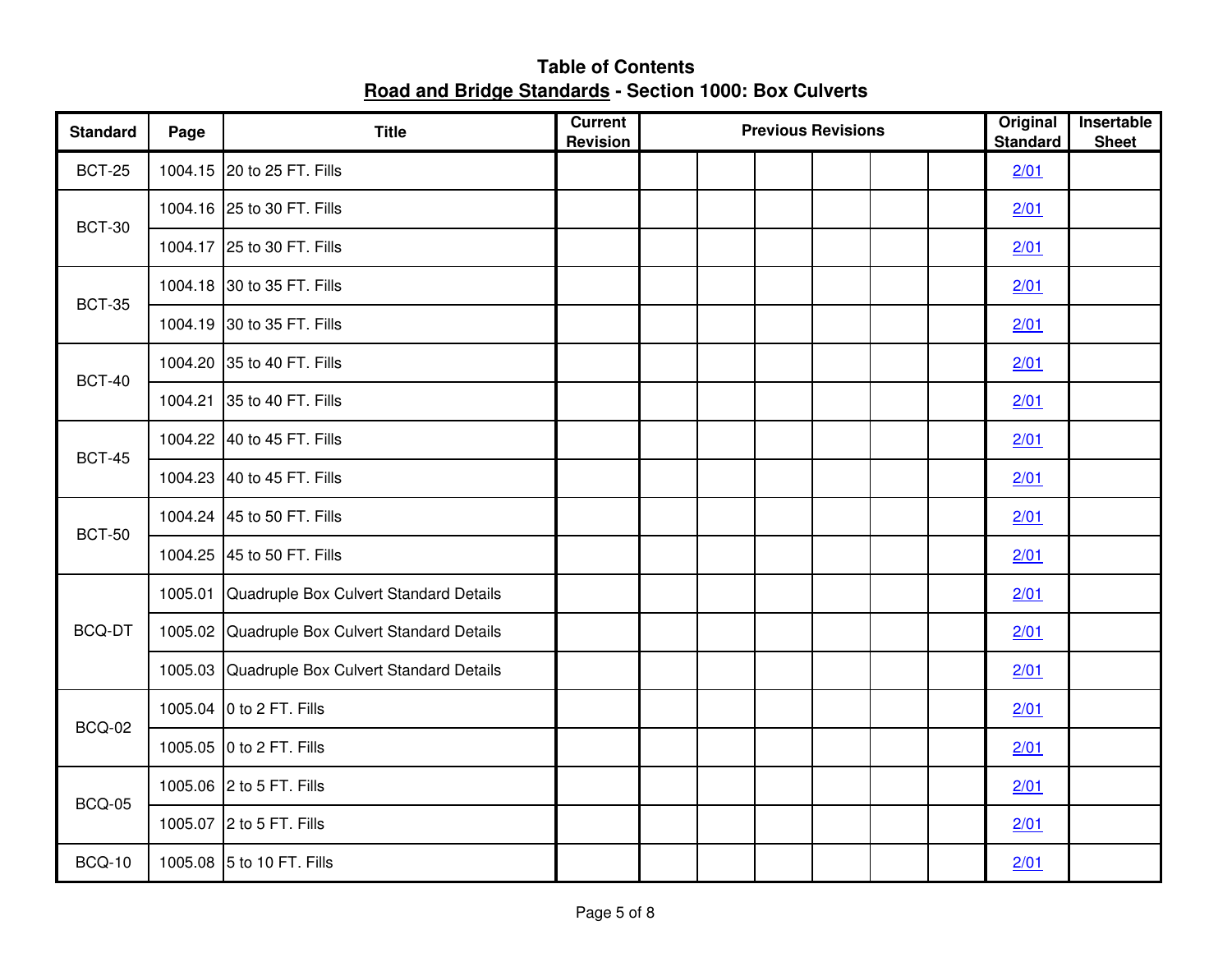| <b>Standard</b> | Page | <b>Title</b>                                   | <b>Current</b><br><b>Revision</b> | <b>Previous Revisions</b> |  |  |  |  |  | Original<br><b>Standard</b> | Insertable<br><b>Sheet</b> |
|-----------------|------|------------------------------------------------|-----------------------------------|---------------------------|--|--|--|--|--|-----------------------------|----------------------------|
| <b>BCT-25</b>   |      | 1004.15 20 to 25 FT. Fills                     |                                   |                           |  |  |  |  |  | 2/01                        |                            |
| <b>BCT-30</b>   |      | 1004.16 25 to 30 FT. Fills                     |                                   |                           |  |  |  |  |  | 2/01                        |                            |
|                 |      | 1004.17 25 to 30 FT. Fills                     |                                   |                           |  |  |  |  |  | 2/01                        |                            |
| <b>BCT-35</b>   |      | 1004.18 30 to 35 FT. Fills                     |                                   |                           |  |  |  |  |  | 2/01                        |                            |
|                 |      | 1004.19 30 to 35 FT. Fills                     |                                   |                           |  |  |  |  |  | 2/01                        |                            |
| <b>BCT-40</b>   |      | 1004.20 35 to 40 FT. Fills                     |                                   |                           |  |  |  |  |  | 2/01                        |                            |
|                 |      | 1004.21 35 to 40 FT. Fills                     |                                   |                           |  |  |  |  |  | 2/01                        |                            |
| <b>BCT-45</b>   |      | 1004.22 40 to 45 FT. Fills                     |                                   |                           |  |  |  |  |  | 2/01                        |                            |
|                 |      | 1004.23 40 to 45 FT. Fills                     |                                   |                           |  |  |  |  |  | 2/01                        |                            |
| <b>BCT-50</b>   |      | 1004.24 45 to 50 FT. Fills                     |                                   |                           |  |  |  |  |  | 2/01                        |                            |
|                 |      | 1004.25 45 to 50 FT. Fills                     |                                   |                           |  |  |  |  |  | 2/01                        |                            |
|                 |      | 1005.01 Quadruple Box Culvert Standard Details |                                   |                           |  |  |  |  |  | 2/01                        |                            |
| BCQ-DT          |      | 1005.02 Quadruple Box Culvert Standard Details |                                   |                           |  |  |  |  |  | 2/01                        |                            |
|                 |      | 1005.03 Quadruple Box Culvert Standard Details |                                   |                           |  |  |  |  |  | 2/01                        |                            |
| <b>BCQ-02</b>   |      | 1005.04 0 to 2 FT. Fills                       |                                   |                           |  |  |  |  |  | 2/01                        |                            |
|                 |      | 1005.05 0 to 2 FT. Fills                       |                                   |                           |  |  |  |  |  | 2/01                        |                            |
| <b>BCQ-05</b>   |      | 1005.06 2 to 5 FT. Fills                       |                                   |                           |  |  |  |  |  | 2/01                        |                            |
|                 |      | 1005.07 2 to 5 FT. Fills                       |                                   |                           |  |  |  |  |  | 2/01                        |                            |
| <b>BCQ-10</b>   |      | 1005.08 5 to 10 FT. Fills                      |                                   |                           |  |  |  |  |  | 2/01                        |                            |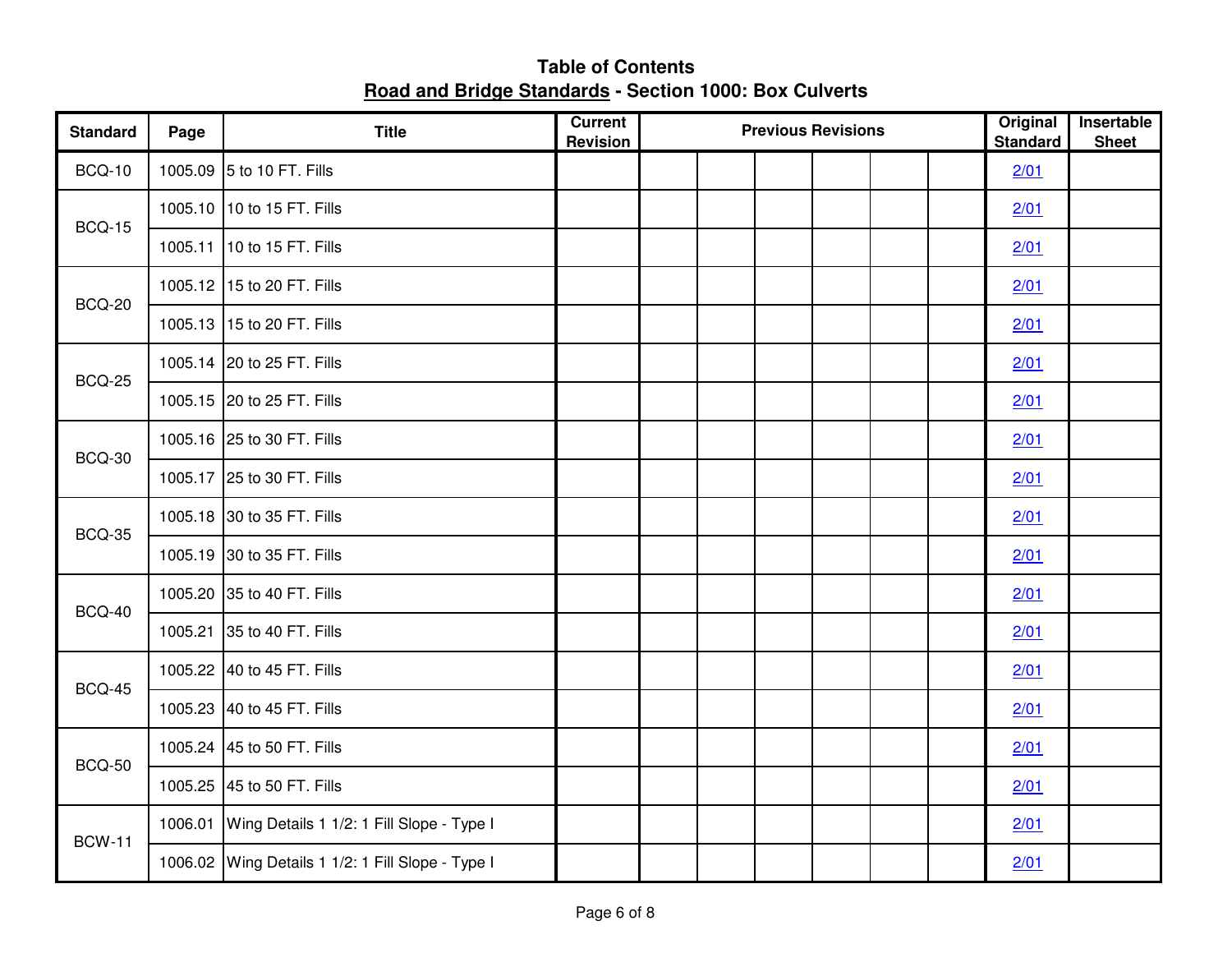| <b>Standard</b> | Page | <b>Title</b>                                      | <b>Current</b><br>Revision | <b>Previous Revisions</b> | Original<br><b>Standard</b> | Insertable<br><b>Sheet</b> |  |
|-----------------|------|---------------------------------------------------|----------------------------|---------------------------|-----------------------------|----------------------------|--|
| <b>BCQ-10</b>   |      | 1005.09 5 to 10 FT. Fills                         |                            |                           |                             | 2/01                       |  |
| <b>BCQ-15</b>   |      | 1005.10 10 to 15 FT. Fills                        |                            |                           |                             | 2/01                       |  |
|                 |      | 1005.11 10 to 15 FT. Fills                        |                            |                           |                             | 2/01                       |  |
| <b>BCQ-20</b>   |      | 1005.12 15 to 20 FT. Fills                        |                            |                           |                             | 2/01                       |  |
|                 |      | 1005.13 15 to 20 FT. Fills                        |                            |                           |                             | 2/01                       |  |
| <b>BCQ-25</b>   |      | 1005.14 20 to 25 FT. Fills                        |                            |                           |                             | 2/01                       |  |
|                 |      | 1005.15 20 to 25 FT. Fills                        |                            |                           |                             | 2/01                       |  |
| <b>BCQ-30</b>   |      | 1005.16 25 to 30 FT. Fills                        |                            |                           |                             | 2/01                       |  |
|                 |      | 1005.17 25 to 30 FT. Fills                        |                            |                           |                             | 2/01                       |  |
| <b>BCQ-35</b>   |      | 1005.18 30 to 35 FT. Fills                        |                            |                           |                             | 2/01                       |  |
|                 |      | 1005.19 30 to 35 FT. Fills                        |                            |                           |                             | 2/01                       |  |
| <b>BCQ-40</b>   |      | 1005.20 35 to 40 FT. Fills                        |                            |                           |                             | 2/01                       |  |
|                 |      | 1005.21 35 to 40 FT. Fills                        |                            |                           |                             | 2/01                       |  |
| <b>BCQ-45</b>   |      | 1005.22 40 to 45 FT. Fills                        |                            |                           |                             | 2/01                       |  |
|                 |      | 1005.23 40 to 45 FT. Fills                        |                            |                           |                             | 2/01                       |  |
| <b>BCQ-50</b>   |      | 1005.24 45 to 50 FT. Fills                        |                            |                           |                             | 2/01                       |  |
|                 |      | 1005.25 45 to 50 FT. Fills                        |                            |                           |                             | 2/01                       |  |
| <b>BCW-11</b>   |      | 1006.01 Wing Details 1 1/2: 1 Fill Slope - Type I |                            |                           |                             | 2/01                       |  |
|                 |      | 1006.02 Wing Details 1 1/2: 1 Fill Slope - Type I |                            |                           |                             | 2/01                       |  |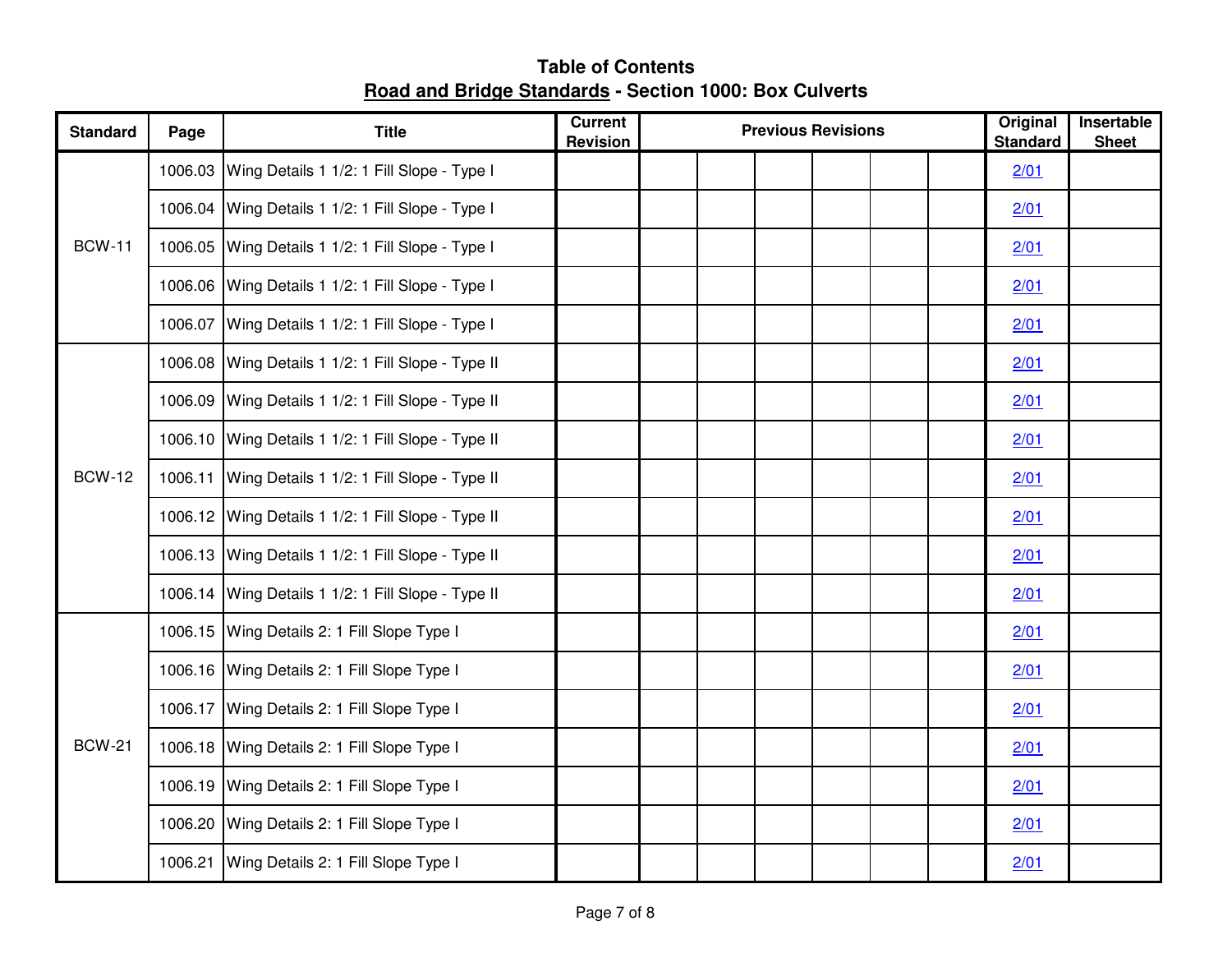| <b>Standard</b> | Page | <b>Title</b>                                       | <b>Current</b><br><b>Revision</b> | <b>Previous Revisions</b> | Original<br><b>Standard</b> | Insertable<br><b>Sheet</b> |
|-----------------|------|----------------------------------------------------|-----------------------------------|---------------------------|-----------------------------|----------------------------|
|                 |      | 1006.03 Wing Details 1 1/2: 1 Fill Slope - Type I  |                                   |                           | 2/01                        |                            |
|                 |      | 1006.04 Wing Details 1 1/2: 1 Fill Slope - Type I  |                                   |                           | 2/01                        |                            |
| <b>BCW-11</b>   |      | 1006.05 Wing Details 1 1/2: 1 Fill Slope - Type I  |                                   |                           | 2/01                        |                            |
|                 |      | 1006.06 Wing Details 1 1/2: 1 Fill Slope - Type I  |                                   |                           | 2/01                        |                            |
|                 |      | 1006.07 Wing Details 1 1/2: 1 Fill Slope - Type I  |                                   |                           | 2/01                        |                            |
|                 |      | 1006.08 Wing Details 1 1/2: 1 Fill Slope - Type II |                                   |                           | 2/01                        |                            |
|                 |      | 1006.09 Wing Details 1 1/2: 1 Fill Slope - Type II |                                   |                           | 2/01                        |                            |
|                 |      | 1006.10 Wing Details 1 1/2: 1 Fill Slope - Type II |                                   |                           | 2/01                        |                            |
| <b>BCW-12</b>   |      | 1006.11 Wing Details 1 1/2: 1 Fill Slope - Type II |                                   |                           | 2/01                        |                            |
|                 |      | 1006.12 Wing Details 1 1/2: 1 Fill Slope - Type II |                                   |                           | 2/01                        |                            |
|                 |      | 1006.13 Wing Details 1 1/2: 1 Fill Slope - Type II |                                   |                           | 2/01                        |                            |
|                 |      | 1006.14 Wing Details 1 1/2: 1 Fill Slope - Type II |                                   |                           | 2/01                        |                            |
|                 |      | 1006.15 Wing Details 2: 1 Fill Slope Type I        |                                   |                           | 2/01                        |                            |
|                 |      | 1006.16 Wing Details 2: 1 Fill Slope Type I        |                                   |                           | 2/01                        |                            |
|                 |      | 1006.17 Wing Details 2: 1 Fill Slope Type I        |                                   |                           | 2/01                        |                            |
| <b>BCW-21</b>   |      | 1006.18 Wing Details 2: 1 Fill Slope Type I        |                                   |                           | 2/01                        |                            |
|                 |      | 1006.19 Wing Details 2: 1 Fill Slope Type I        |                                   |                           | 2/01                        |                            |
|                 |      | 1006.20 Wing Details 2: 1 Fill Slope Type I        |                                   |                           | 2/01                        |                            |
|                 |      | 1006.21 Wing Details 2: 1 Fill Slope Type I        |                                   |                           | 2/01                        |                            |